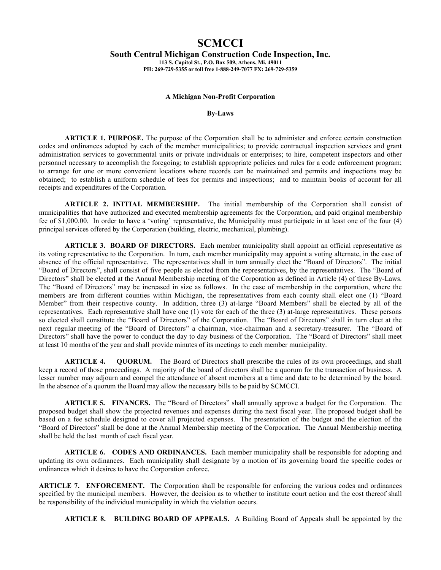## **SCMCCI**

## **South Central Michigan Construction Code Inspection, Inc.**

**113 S. Capitol St., P.O. Box 509, Athens, Mi. 49011 PH: 269-729-5355 or toll free 1-888-249-7077 FX: 269-729-5359**

## **A Michigan Non-Profit Corporation**

**By-Laws**

**ARTICLE 1. PURPOSE.** The purpose of the Corporation shall be to administer and enforce certain construction codes and ordinances adopted by each of the member municipalities; to provide contractual inspection services and grant administration services to governmental units or private individuals or enterprises; to hire, competent inspectors and other personnel necessary to accomplish the foregoing; to establish appropriate policies and rules for a code enforcement program; to arrange for one or more convenient locations where records can be maintained and permits and inspections may be obtained; to establish a uniform schedule of fees for permits and inspections; and to maintain books of account for all receipts and expenditures of the Corporation.

**ARTICLE 2. INITIAL MEMBERSHIP.** The initial membership of the Corporation shall consist of municipalities that have authorized and executed membership agreements for the Corporation, and paid original membership fee of \$1,000.00. In order to have a 'voting' representative, the Municipality must participate in at least one of the four (4) principal services offered by the Corporation (building, electric, mechanical, plumbing).

**ARTICLE 3. BOARD OF DIRECTORS.** Each member municipality shall appoint an official representative as its voting representative to the Corporation. In turn, each member municipality may appoint a voting alternate, in the case of absence of the official representative. The representatives shall in turn annually elect the "Board of Directors". The initial "Board of Directors", shall consist of five people as elected from the representatives, by the representatives. The "Board of Directors" shall be elected at the Annual Membership meeting of the Corporation as defined in Article (4) of these By-Laws. The "Board of Directors" may be increased in size as follows. In the case of membership in the corporation, where the members are from different counties within Michigan, the representatives from each county shall elect one (1) "Board Member" from their respective county. In addition, three (3) at-large "Board Members" shall be elected by all of the representatives. Each representative shall have one (1) vote for each of the three (3) at-large representatives. These persons so elected shall constitute the "Board of Directors" of the Corporation. The "Board of Directors" shall in turn elect at the next regular meeting of the "Board of Directors" a chairman, vice-chairman and a secretary-treasurer. The "Board of Directors" shall have the power to conduct the day to day business of the Corporation. The "Board of Directors" shall meet at least 10 months of the year and shall provide minutes of its meetings to each member municipality.

**ARTICLE 4. QUORUM.** The Board of Directors shall prescribe the rules of its own proceedings, and shall keep a record of those proceedings. A majority of the board of directors shall be a quorum for the transaction of business. A lesser number may adjourn and compel the attendance of absent members at a time and date to be determined by the board. In the absence of a quorum the Board may allow the necessary bills to be paid by SCMCCI.

**ARTICLE 5. FINANCES.** The "Board of Directors" shall annually approve a budget for the Corporation. The proposed budget shall show the projected revenues and expenses during the next fiscal year. The proposed budget shall be based on a fee schedule designed to cover all projected expenses. The presentation of the budget and the election of the "Board of Directors" shall be done at the Annual Membership meeting of the Corporation. The Annual Membership meeting shall be held the last month of each fiscal year.

**ARTICLE 6. CODES AND ORDINANCES.** Each member municipality shall be responsible for adopting and updating its own ordinances. Each municipality shall designate by a motion of its governing board the specific codes or ordinances which it desires to have the Corporation enforce.

**ARTICLE 7. ENFORCEMENT.** The Corporation shall be responsible for enforcing the various codes and ordinances specified by the municipal members. However, the decision as to whether to institute court action and the cost thereof shall be responsibility of the individual municipality in which the violation occurs.

**ARTICLE 8. BUILDING BOARD OF APPEALS.** A Building Board of Appeals shall be appointed by the